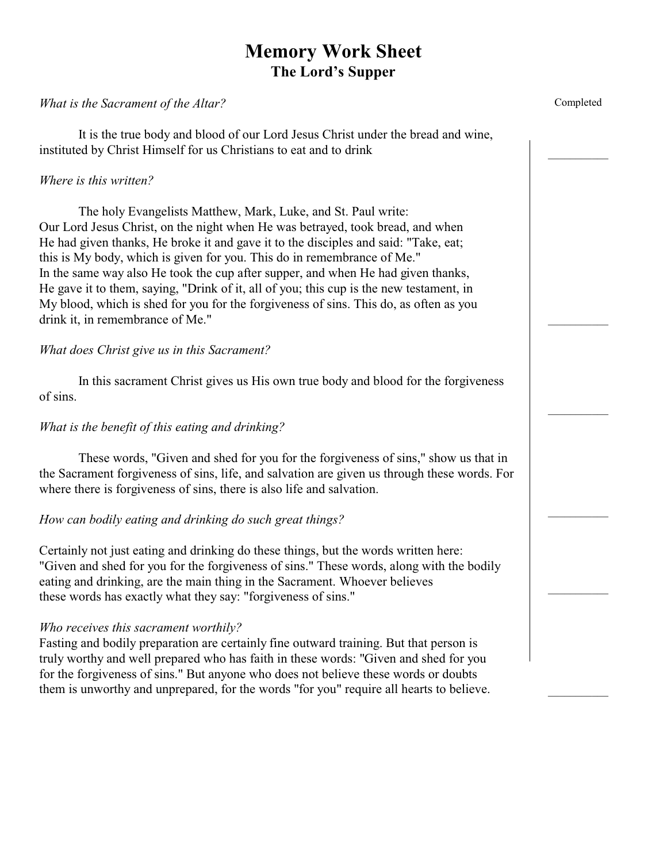# **Memory Work Sheet The Lord's Supper**

#### *What is the Sacrament of the Altar?*

It is the true body and blood of our Lord Jesus Christ under the bread and wine, instituted by Christ Himself for us Christians to eat and to drink

#### *Where is this written?*

The holy Evangelists Matthew, Mark, Luke, and St. Paul write: Our Lord Jesus Christ, on the night when He was betrayed, took bread, and when He had given thanks, He broke it and gave it to the disciples and said: "Take, eat; this is My body, which is given for you. This do in remembrance of Me." In the same way also He took the cup after supper, and when He had given thanks, He gave it to them, saying, "Drink of it, all of you; this cup is the new testament, in My blood, which is shed for you for the forgiveness of sins. This do, as often as you drink it, in remembrance of Me."

#### *What does Christ give us in this Sacrament?*

In this sacrament Christ gives us His own true body and blood for the forgiveness of sins.

### *What is the benefit of this eating and drinking?*

These words, "Given and shed for you for the forgiveness of sins," show us that in the Sacrament forgiveness of sins, life, and salvation are given us through these words. For where there is forgiveness of sins, there is also life and salvation.

#### *How can bodily eating and drinking do such great things?*

Certainly not just eating and drinking do these things, but the words written here: "Given and shed for you for the forgiveness of sins." These words, along with the bodily eating and drinking, are the main thing in the Sacrament. Whoever believes these words has exactly what they say: "forgiveness of sins."

#### *Who receives this sacrament worthily?*

Fasting and bodily preparation are certainly fine outward training. But that person is truly worthy and well prepared who has faith in these words: "Given and shed for you for the forgiveness of sins." But anyone who does not believe these words or doubts them is unworthy and unprepared, for the words "for you" require all hearts to believe. Completed

 $\mathcal{L}=\mathcal{L}$ 

 $\mathcal{L}$  , we have the set of  $\mathcal{L}$ 

 $\mathcal{L}$  , we have the set of  $\mathcal{L}$ 

 $\mathcal{L}$  , we have the set of  $\mathcal{L}$ 

 $\mathcal{L}$  , we have the set of  $\mathcal{L}$ 

 $\mathcal{L}$  , we have the set of  $\mathcal{L}$